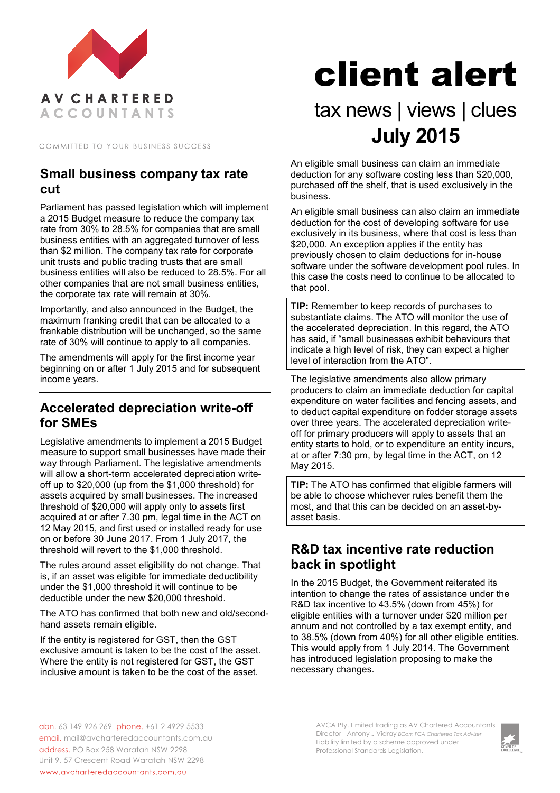

COMMITTED TO YOUR BUSINESS SUCCESS

#### **Small business company tax rate cut**

Parliament has passed legislation which will implement a 2015 Budget measure to reduce the company tax rate from 30% to 28.5% for companies that are small business entities with an aggregated turnover of less than \$2 million. The company tax rate for corporate unit trusts and public trading trusts that are small business entities will also be reduced to 28.5%. For all other companies that are not small business entities, the corporate tax rate will remain at 30%.

Importantly, and also announced in the Budget, the maximum franking credit that can be allocated to a frankable distribution will be unchanged, so the same rate of 30% will continue to apply to all companies.

The amendments will apply for the first income year beginning on or after 1 July 2015 and for subsequent income years.

### **Accelerated depreciation write-off for SMEs**

Legislative amendments to implement a 2015 Budget measure to support small businesses have made their way through Parliament. The legislative amendments will allow a short-term accelerated depreciation writeoff up to \$20,000 (up from the \$1,000 threshold) for assets acquired by small businesses. The increased threshold of \$20,000 will apply only to assets first acquired at or after 7.30 pm, legal time in the ACT on 12 May 2015, and first used or installed ready for use on or before 30 June 2017. From 1 July 2017, the threshold will revert to the \$1,000 threshold.

The rules around asset eligibility do not change. That is, if an asset was eligible for immediate deductibility under the \$1,000 threshold it will continue to be deductible under the new \$20,000 threshold.

The ATO has confirmed that both new and old/secondhand assets remain eligible.

If the entity is registered for GST, then the GST exclusive amount is taken to be the cost of the asset. Where the entity is not registered for GST, the GST inclusive amount is taken to be the cost of the asset.

# client alert

# tax news | views | clues **July 2015**

An eligible small business can claim an immediate deduction for any software costing less than \$20,000, purchased off the shelf, that is used exclusively in the business.

An eligible small business can also claim an immediate deduction for the cost of developing software for use exclusively in its business, where that cost is less than \$20,000. An exception applies if the entity has previously chosen to claim deductions for in-house software under the software development pool rules. In this case the costs need to continue to be allocated to that pool.

**TIP:** Remember to keep records of purchases to substantiate claims. The ATO will monitor the use of the accelerated depreciation. In this regard, the ATO has said, if "small businesses exhibit behaviours that indicate a high level of risk, they can expect a higher level of interaction from the ATO".

The legislative amendments also allow primary producers to claim an immediate deduction for capital expenditure on water facilities and fencing assets, and to deduct capital expenditure on fodder storage assets over three years. The accelerated depreciation writeoff for primary producers will apply to assets that an entity starts to hold, or to expenditure an entity incurs, at or after 7:30 pm, by legal time in the ACT, on 12 May 2015.

**TIP:** The ATO has confirmed that eligible farmers will be able to choose whichever rules benefit them the most, and that this can be decided on an asset-byasset basis.

## **R&D tax incentive rate reduction back in spotlight**

In the 2015 Budget, the Government reiterated its intention to change the rates of assistance under the R&D tax incentive to 43.5% (down from 45%) for eligible entities with a turnover under \$20 million per annum and not controlled by a tax exempt entity, and to 38.5% (down from 40%) for all other eligible entities. This would apply from 1 July 2014. The Government has introduced legislation proposing to make the necessary changes.

abn. 63 149 926 269 phone. +61 2 4929 5533 email. mail@avcharteredaccountants.com.au address. PO Box 258 Waratah NSW 2298 Unit 9, 57 Crescent Road Waratah NSW 2298 www.avcharteredaccountants.com.au

AVCA Pty. Limited trading as AV Chartered Accountants Director - Antony J Vidray *BCom FCA Chartered Tax Adviser* Liability limited by a scheme approved under Professional Standards Legislation.